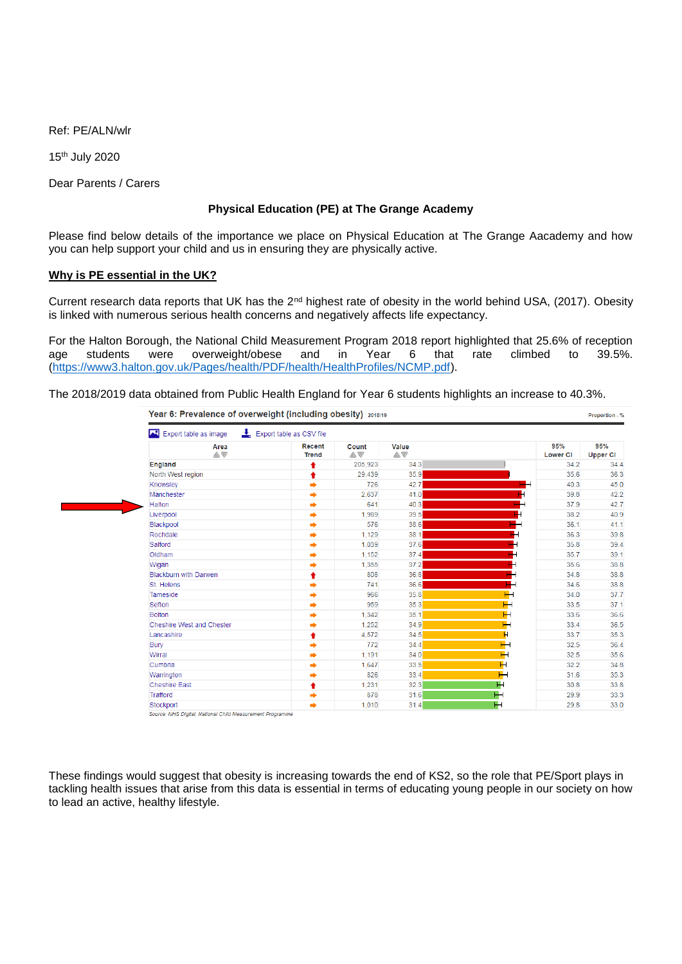Ref: PE/ALN/wlr

15th July 2020

Dear Parents / Carers

## **Physical Education (PE) at The Grange Academy**

Please find below details of the importance we place on Physical Education at The Grange Aacademy and how you can help support your child and us in ensuring they are physically active.

### **Why is PE essential in the UK?**

Current research data reports that UK has the 2nd highest rate of obesity in the world behind USA, (2017). Obesity is linked with numerous serious health concerns and negatively affects life expectancy.

For the Halton Borough, the National Child Measurement Program 2018 report highlighted that 25.6% of reception age students were overweight/obese and in Year 6 that rate climbed to 39.5%. [\(https://www3.halton.gov.uk/Pages/health/PDF/health/HealthProfiles/NCMP.pdf\)](https://www3.halton.gov.uk/Pages/health/PDF/health/HealthProfiles/NCMP.pdf).

The 2018/2019 data obtained from Public Health England for Year 6 students highlights an increase to 40.3%.

| Export table as image        | $\frac{1}{2}$ Export table as CSV file |             |                        |                |                        |                        |
|------------------------------|----------------------------------------|-------------|------------------------|----------------|------------------------|------------------------|
| Area<br>AV                   | <b>Recent</b><br><b>Trend</b>          | Count<br>AV | Value<br>$\triangle$ V |                | 95%<br><b>Lower CI</b> | 95%<br><b>Upper CI</b> |
| England                      | ŧ                                      | 205,923     | 34.3                   |                | 34.2                   | 34.4                   |
| North West region            | ↟                                      | 29,439      | 35.9                   |                | 35.6                   | 36.3                   |
| Knowsley                     | ۰                                      | 726         | 42.7                   |                | 40.3                   | 45.0                   |
| Manchester                   | $\Rightarrow$                          | 2,637       | 41.0                   |                | 39.8                   | 42.2                   |
| <b>Halton</b>                | $\Rightarrow$                          | 641         | 40.3                   |                | 37.9                   | 42.7                   |
| Liverpool                    | ۰                                      | 1,989       | 39.5                   |                | 38.2                   | 40.9                   |
| Blackpool                    | $\Rightarrow$                          | 576         | 38.6                   |                | 36.1                   | 41.1                   |
| Rochdale                     | $\Rightarrow$                          | 1,129       | 38.1                   |                | 36.3                   | 39.8                   |
| Salford                      | ⇒                                      | 1,039       | 37.6                   |                | 35.8                   | 39.4                   |
| Oldham                       | ۰                                      | 1.152       | 37.4                   |                | 35.7                   | 39.1                   |
| Wigan                        | $\Rightarrow$                          | 1,355       | 37.2                   |                | 35.6                   | 38.8                   |
| <b>Blackburn with Darwen</b> | ٠                                      | 808         | 36.8                   | $\blacksquare$ | 34.8                   | 38.8                   |
| St. Helens                   | ۰                                      | 741         | 36.6                   | H              | 34.6                   | 38.8                   |
| Tameside                     | ۰                                      | 966         | 35.8                   | ⊢              | 34.0                   | 37.7                   |
| Sefton                       | $\Rightarrow$                          | 959         | 35.3                   | ⊢              | 33.5                   | 37.1                   |
| <b>Bolton</b>                | $\Rightarrow$                          | 1,342       | 35.1                   | Н              | 33.6                   | 36.6                   |
| Cheshire West and Chester    | ۰                                      | 1,252       | 34.9                   | Н              | 33.4                   | 36.5                   |
| Lancashire                   | ♠                                      | 4,572       | 34.5                   | н              | 33.7                   | 35.3                   |
| Bury                         | $\Rightarrow$                          | 772         | 34.4                   | Н              | 32.5                   | 36.4                   |
| Wirral                       | ۰                                      | 1,191       | 34.0                   | $\mathsf{H}$   | 32.5                   | 35.6                   |
| Cumbria                      | $\Rightarrow$                          | 1,647       | 33.5                   | $\mathbb H$    | 32.2                   | 34.8                   |
| Warrington                   | $\Rightarrow$                          | 826         | 33.4                   | Н              | 31.6                   | 35.3                   |
| <b>Cheshire East</b>         | ♠                                      | 1,231       | 32.3                   | н              | 30.8                   | 33.8                   |
| Trafford                     | $\Rightarrow$                          | 878         | 31.6                   | ⊢              | 29.9                   | 33.3                   |
| Stockport                    | ⇒                                      | 1,010       | 31.4                   | Н              | 29.8                   | 33.0                   |

These findings would suggest that obesity is increasing towards the end of KS2, so the role that PE/Sport plays in tackling health issues that arise from this data is essential in terms of educating young people in our society on how to lead an active, healthy lifestyle.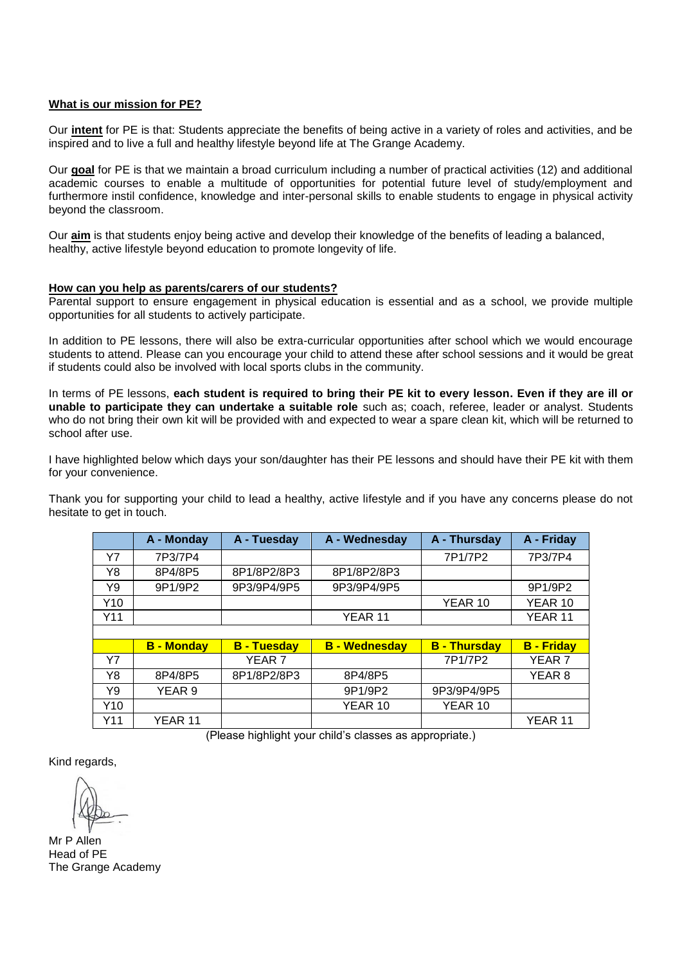#### **What is our mission for PE?**

Our **intent** for PE is that: Students appreciate the benefits of being active in a variety of roles and activities, and be inspired and to live a full and healthy lifestyle beyond life at The Grange Academy.

Our **goal** for PE is that we maintain a broad curriculum including a number of practical activities (12) and additional academic courses to enable a multitude of opportunities for potential future level of study/employment and furthermore instil confidence, knowledge and inter-personal skills to enable students to engage in physical activity beyond the classroom.

Our **aim** is that students enjoy being active and develop their knowledge of the benefits of leading a balanced, healthy, active lifestyle beyond education to promote longevity of life.

#### **How can you help as parents/carers of our students?**

Parental support to ensure engagement in physical education is essential and as a school, we provide multiple opportunities for all students to actively participate.

In addition to PE lessons, there will also be extra-curricular opportunities after school which we would encourage students to attend. Please can you encourage your child to attend these after school sessions and it would be great if students could also be involved with local sports clubs in the community.

In terms of PE lessons, **each student is required to bring their PE kit to every lesson. Even if they are ill or unable to participate they can undertake a suitable role** such as; coach, referee, leader or analyst. Students who do not bring their own kit will be provided with and expected to wear a spare clean kit, which will be returned to school after use.

I have highlighted below which days your son/daughter has their PE lessons and should have their PE kit with them for your convenience.

Thank you for supporting your child to lead a healthy, active lifestyle and if you have any concerns please do not hesitate to get in touch.

|     | A - Monday | A - Tuesday | A - Wednesday | A - Thursday | A - Friday |
|-----|------------|-------------|---------------|--------------|------------|
| Y7  | 7P3/7P4    |             |               | 7P1/7P2      | 7P3/7P4    |
| Y8  | 8P4/8P5    | 8P1/8P2/8P3 | 8P1/8P2/8P3   |              |            |
| Y9  | 9P1/9P2    | 9P3/9P4/9P5 | 9P3/9P4/9P5   |              | 9P1/9P2    |
| Y10 |            |             |               | YEAR 10      | YEAR 10    |
| Y11 |            |             | YEAR 11       |              | YEAR 11    |
|     |            |             |               |              |            |

|     | <b>B</b> - Monday | <b>B</b> - Tuesday | <b>B</b> - Wednesday | <b>B</b> - Thursday | <b>B</b> - Friday |
|-----|-------------------|--------------------|----------------------|---------------------|-------------------|
| Υ7  |                   | YEAR <sub>7</sub>  |                      | 7P1/7P2             | YEAR <sub>7</sub> |
| Y8  | 8P4/8P5           | 8P1/8P2/8P3        | 8P4/8P5              |                     | YEAR 8            |
| Y9  | YEAR 9            |                    | 9P1/9P2              | 9P3/9P4/9P5         |                   |
| Y10 |                   |                    | YEAR 10              | YEAR 10             |                   |
| Y11 | YEAR 11           |                    |                      |                     | YFAR 11           |

(Please highlight your child's classes as appropriate.)

Kind regards,

Mr P Allen Head of PE The Grange Academy